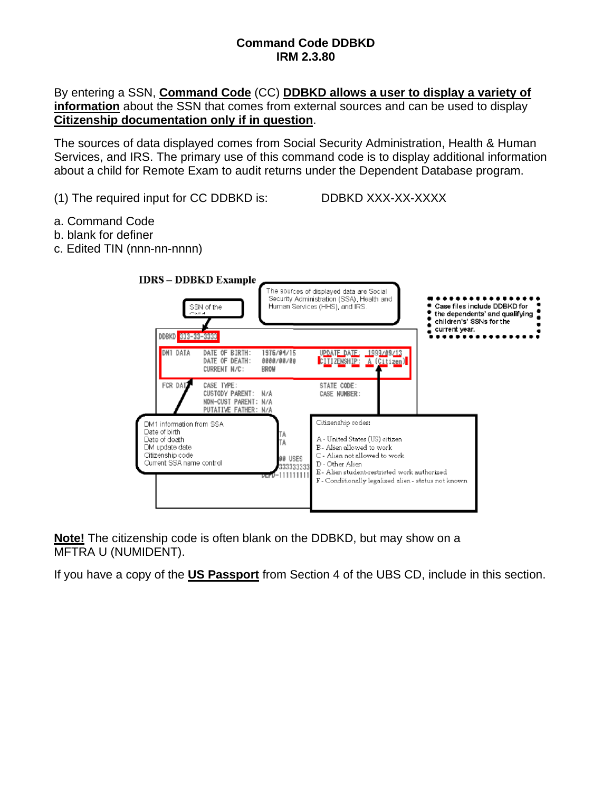## **Command Code DDBKD IRM 2.3.80**

## By entering a SSN, **Command Code** (CC) **DDBKD allows a user to display a variety of information** about the SSN that comes from external sources and can be used to display **Citizenship documentation only if in question**.

The sources of data displayed comes from Social Security Administration, Health & Human Services, and IRS. The primary use of this command code is to display additional information about a child for Remote Exam to audit returns under the Dependent Database program.

- (1) The required input for CC DDBKD is: DDBKD XXX-XX-XXXX
	-

- a. Command Code
- b. blank for definer
- c. Edited TIN (nnn-nn-nnnn)



**Note!** The citizenship code is often blank on the DDBKD, but may show on a MFTRA U (NUMIDENT).

If you have a copy of the **US Passport** from Section 4 of the UBS CD, include in this section.